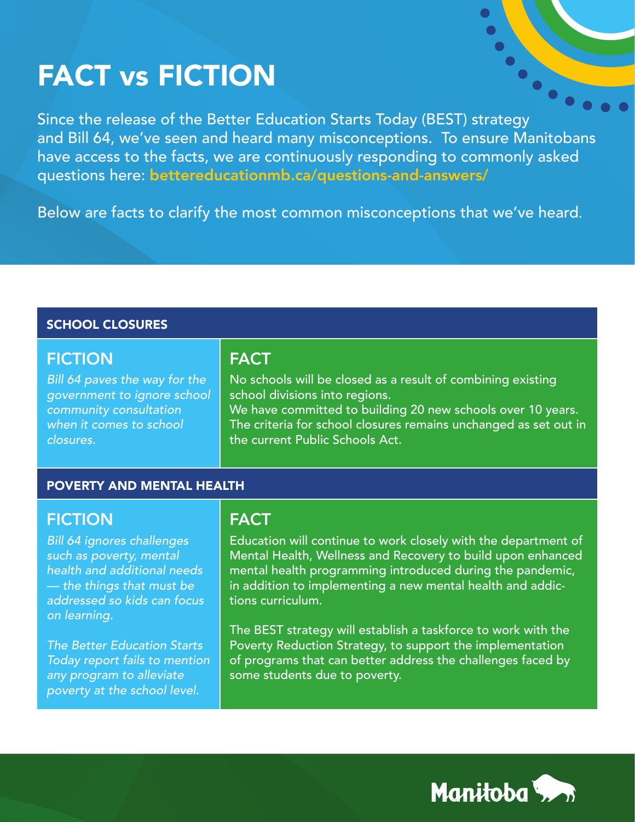# FACT vs FICTION

Since the release of the Better Education Starts Today (BEST) strategy and Bill 64, we've seen and heard many misconceptions. To ensure Manitobans have access to the facts, we are continuously responding to commonly asked questions here: bettereducationmb.ca/questions-and-answers/

Below are facts to clarify the most common misconceptions that we've heard.

#### SCHOOL CLOSURES

### **FICTION**

*Bill 64 paves the way for the government to ignore school community consultation when it comes to school closures.* 

# **FACT**

No schools will be closed as a result of combining existing school divisions into regions.

We have committed to building 20 new schools over 10 years. The criteria for school closures remains unchanged as set out in the current Public Schools Act.

 $\bullet$ 

#### POVERTY AND MENTAL HEALTH

# FICTION

*Bill 64 ignores challenges such as poverty, mental health and additional needs — the things that must be addressed so kids can focus on learning.*

*The Better Education Starts Today report fails to mention any program to alleviate poverty at the school level.*

# FACT

Education will continue to work closely with the department of Mental Health, Wellness and Recovery to build upon enhanced mental health programming introduced during the pandemic, in addition to implementing a new mental health and addictions curriculum.

The BEST strategy will establish a taskforce to work with the Poverty Reduction Strategy, to support the implementation of programs that can better address the challenges faced by some students due to poverty.

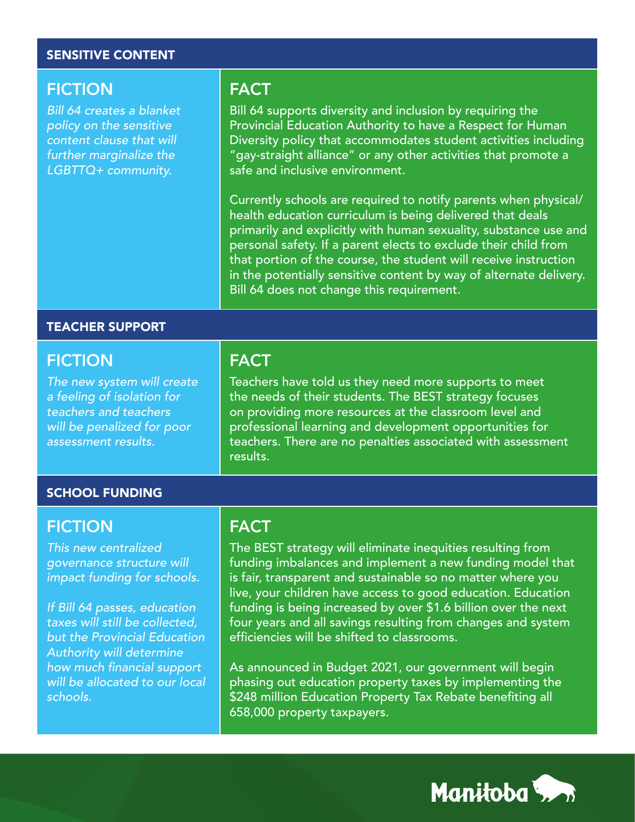#### SENSITIVE CONTENT

### **FICTION**

*Bill 64 creates a blanket policy on the sensitive content clause that will further marginalize the LGBTTQ+ community.*

### FACT

Bill 64 supports diversity and inclusion by requiring the Provincial Education Authority to have a Respect for Human Diversity policy that accommodates student activities including "gay-straight alliance" or any other activities that promote a safe and inclusive environment.

Currently schools are required to notify parents when physical/ health education curriculum is being delivered that deals primarily and explicitly with human sexuality, substance use and personal safety. If a parent elects to exclude their child from that portion of the course, the student will receive instruction in the potentially sensitive content by way of alternate delivery. Bill 64 does not change this requirement.

#### TEACHER SUPPORT

#### FICTION

*The new system will create a feeling of isolation for teachers and teachers will be penalized for poor assessment results.*

#### SCHOOL FUNDING

### **FICTION**

*This new centralized governance structure will impact funding for schools.*

*If Bill 64 passes, education taxes will still be collected, but the Provincial Education Authority will determine*  how much financial support *will be allocated to our local schools.*

## **FACT**

Teachers have told us they need more supports to meet the needs of their students. The BEST strategy focuses on providing more resources at the classroom level and professional learning and development opportunities for teachers. There are no penalties associated with assessment results.

### **FACT**

The BEST strategy will eliminate inequities resulting from funding imbalances and implement a new funding model that is fair, transparent and sustainable so no matter where you live, your children have access to good education. Education funding is being increased by over \$1.6 billion over the next four years and all savings resulting from changes and system efficiencies will be shifted to classrooms.

As announced in Budget 2021, our government will begin phasing out education property taxes by implementing the \$248 million Education Property Tax Rebate benefiting all 658,000 property taxpayers.

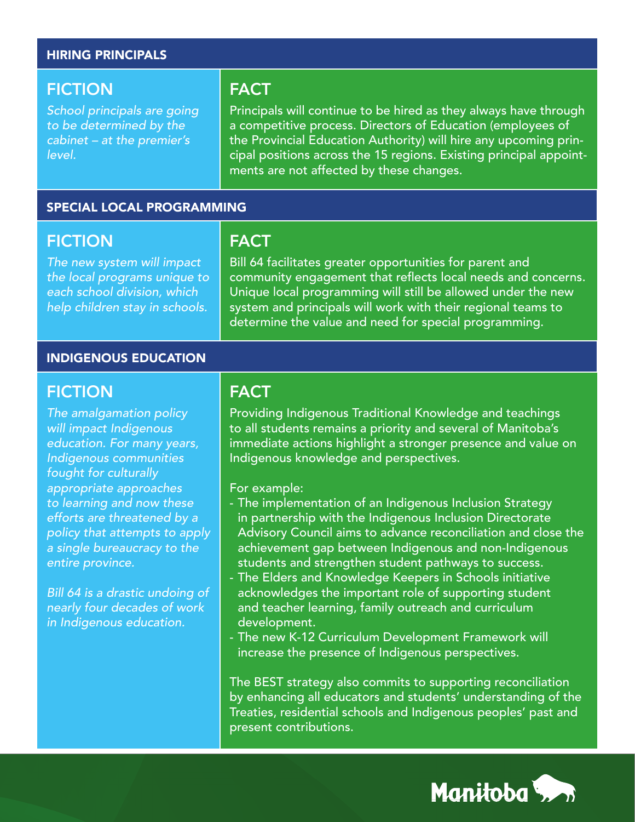#### HIRING PRINCIPALS

### **FICTION**

*School principals are going to be determined by the cabinet – at the premier's level.*

### FACT

Principals will continue to be hired as they always have through a competitive process. Directors of Education (employees of the Provincial Education Authority) will hire any upcoming principal positions across the 15 regions. Existing principal appointments are not affected by these changes.

#### SPECIAL LOCAL PROGRAMMING

### **FICTION**

*The new system will impact the local programs unique to each school division, which help children stay in schools.*

# **FACT**

Bill 64 facilitates greater opportunities for parent and community engagement that reflects local needs and concerns. Unique local programming will still be allowed under the new system and principals will work with their regional teams to determine the value and need for special programming.

#### INDIGENOUS EDUCATION

### **FICTION**

*The amalgamation policy will impact Indigenous education. For many years, Indigenous communities fought for culturally appropriate approaches to learning and now these efforts are threatened by a policy that attempts to apply a single bureaucracy to the entire province.*

*Bill 64 is a drastic undoing of nearly four decades of work in Indigenous education.*

### **FACT**

Providing Indigenous Traditional Knowledge and teachings to all students remains a priority and several of Manitoba's immediate actions highlight a stronger presence and value on Indigenous knowledge and perspectives.

For example:

- The implementation of an Indigenous Inclusion Strategy in partnership with the Indigenous Inclusion Directorate Advisory Council aims to advance reconciliation and close the achievement gap between Indigenous and non-Indigenous students and strengthen student pathways to success.
- The Elders and Knowledge Keepers in Schools initiative acknowledges the important role of supporting student and teacher learning, family outreach and curriculum development.
- The new K-12 Curriculum Development Framework will increase the presence of Indigenous perspectives.

The BEST strategy also commits to supporting reconciliation by enhancing all educators and students' understanding of the Treaties, residential schools and Indigenous peoples' past and present contributions.

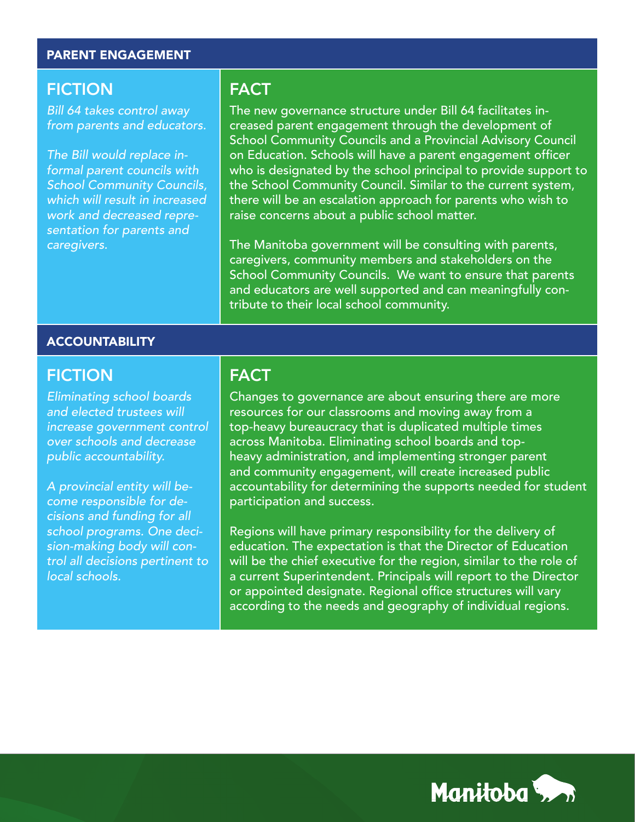#### PARENT ENGAGEMENT

### **FICTION**

*Bill 64 takes control away from parents and educators.*

*The Bill would replace informal parent councils with School Community Councils, which will result in increased work and decreased representation for parents and caregivers.* 

### FACT

The new governance structure under Bill 64 facilitates increased parent engagement through the development of School Community Councils and a Provincial Advisory Council on Education. Schools will have a parent engagement officer who is designated by the school principal to provide support to the School Community Council. Similar to the current system, there will be an escalation approach for parents who wish to raise concerns about a public school matter.

The Manitoba government will be consulting with parents, caregivers, community members and stakeholders on the School Community Councils. We want to ensure that parents and educators are well supported and can meaningfully contribute to their local school community.

#### **ACCOUNTABILITY**

#### FICTION

*Eliminating school boards and elected trustees will increase government control over schools and decrease public accountability.*

*A provincial entity will become responsible for decisions and funding for all school programs. One decision-making body will control all decisions pertinent to local schools.*

### **FACT**

Changes to governance are about ensuring there are more resources for our classrooms and moving away from a top-heavy bureaucracy that is duplicated multiple times across Manitoba. Eliminating school boards and topheavy administration, and implementing stronger parent and community engagement, will create increased public accountability for determining the supports needed for student participation and success.

Regions will have primary responsibility for the delivery of education. The expectation is that the Director of Education will be the chief executive for the region, similar to the role of a current Superintendent. Principals will report to the Director or appointed designate. Regional office structures will vary according to the needs and geography of individual regions.

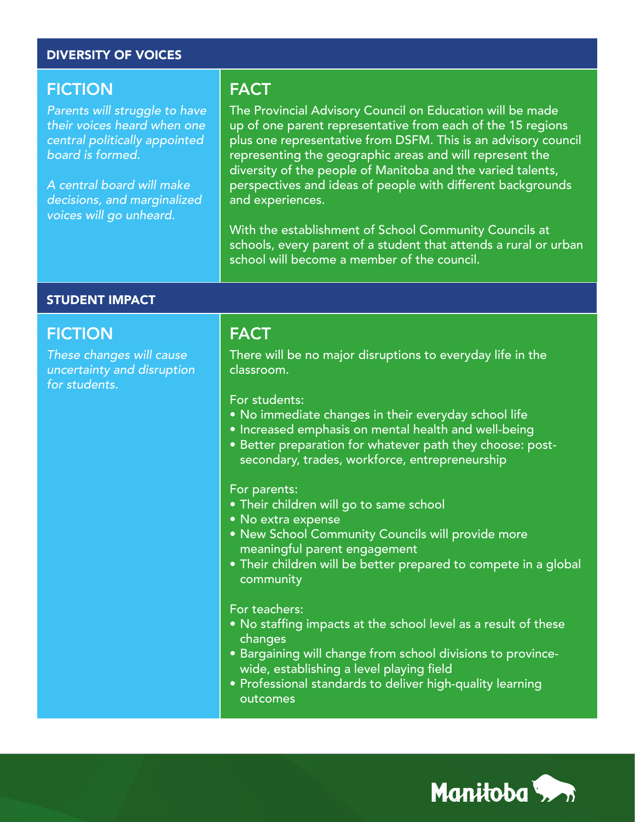#### DIVERSITY OF VOICES

#### FICTION

*Parents will struggle to have their voices heard when one central politically appointed board is formed.*

*A central board will make decisions, and marginalized voices will go unheard.*

### FACT

The Provincial Advisory Council on Education will be made up of one parent representative from each of the 15 regions plus one representative from DSFM. This is an advisory council representing the geographic areas and will represent the diversity of the people of Manitoba and the varied talents, perspectives and ideas of people with different backgrounds and experiences.

With the establishment of School Community Councils at schools, every parent of a student that attends a rural or urban school will become a member of the council.

#### STUDENT IMPACT

#### **FICTION**

*These changes will cause uncertainty and disruption for students.*

#### FACT

There will be no major disruptions to everyday life in the classroom.

For students:

- No immediate changes in their everyday school life
- Increased emphasis on mental health and well-being
- Better preparation for whatever path they choose: postsecondary, trades, workforce, entrepreneurship

#### For parents:

- Their children will go to same school
- No extra expense
- New School Community Councils will provide more meaningful parent engagement
- Their children will be better prepared to compete in a global community

#### For teachers:

- No staffing impacts at the school level as a result of these changes
- Bargaining will change from school divisions to provincewide, establishing a level playing field
- Professional standards to deliver high-quality learning outcomes